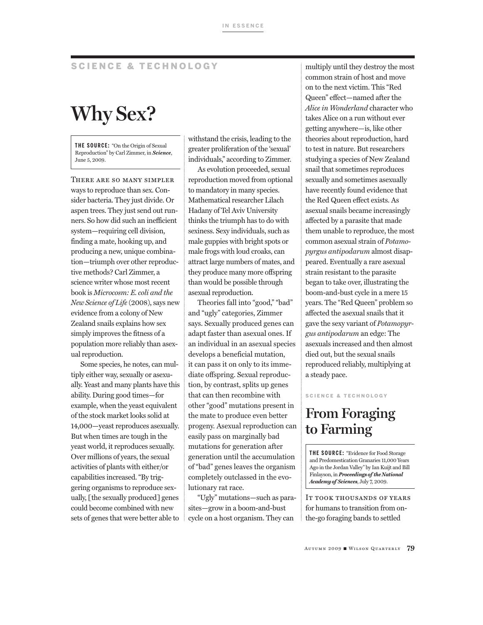#### SCIENCE & TECHNOLOGY

# **Why Sex?**

**THE SOURCE:** "On the Origin of Sexual Reproduction" by Carl Zimmer, in *Science*, June 5, 2009.

There are so many simpler ways to reproduce than sex. Consider bacteria. They just divide. Or aspen trees. They just send out runners. So how did such an inefficient system—requiring cell division, finding a mate, hooking up, and producing a new, unique combination—triumph over other reproductive methods? Carl Zimmer, a science writer whose most recent book is *Microcosm: E. coli and the New Science of Life* (2008), says new evidence from a colony of New Zealand snails explains how sex simply improves the fitness of a population more reliably than asexual reproduction.

Some species, he notes, can multiply either way, sexually or asexually. Yeast and many plants have this ability. During good times—for example, when the yeast equivalent of the stock market looks solid at 14,000—yeast reproduces asexually. But when times are tough in the yeast world, it reproduces sexually. Over millions of years, the sexual activities of plants with either/or capabilities increased. "By triggering organisms to reproduce sexually, [the sexually produced] genes could become combined with new sets of genes that were better able to

withstand the crisis, leading to the greater proliferation of the 'sexual' individuals," according to Zimmer.

As evolution proceeded, sexual reproduction moved from optional to mandatory in many species. Mathematical researcher Lilach Hadany of Tel Aviv University thinks the triumph has to do with sexiness. Sexy individuals, such as male guppies with bright spots or male frogs with loud croaks, can attract large numbers of mates, and they produce many more offspring than would be possible through asexual reproduction.

Theories fall into "good," "bad" and "ugly" categories, Zimmer says. Sexually produced genes can adapt faster than asexual ones. If an individual in an asexual species develops a beneficial mutation, it can pass it on only to its immediate offspring. Sexual reproduction, by contrast, splits up genes that can then recombine with other "good" mutations present in the mate to produce even better progeny. Asexual reproduction can easily pass on marginally bad mutations for generation after generation until the accumulation of "bad" genes leaves the organism completely outclassed in the evolutionary rat race.

"Ugly" mutations—such as parasites—grow in a boom-and-bust cycle on a host organism. They can

multiply until they destroy the most common strain of host and move on to the next victim. This "Red Queen" effect—named after the *Alice in Wonderland* character who takes Alice on a run without ever getting anywhere—is, like other theories about reproduction, hard to test in nature. But researchers studying a species of New Zealand snail that sometimes reproduces sexually and sometimes asexually have recently found evidence that the Red Queen effect exists. As asexual snails became increasingly affected by a parasite that made them unable to reproduce, the most common asexual strain of *Potamopyrgus antipodarum* almost disappeared. Eventually a rare asexual strain resistant to the parasite began to take over, illustrating the boom-and-bust cycle in a mere 15 years. The "Red Queen" problem so affected the asexual snails that it gave the sexy variant of *Potamopyrgus antipodarum* an edge: The asexuals increased and then almost died out, but the sexual snails reproduced reliably, multiplying at a steady pace.

SCIENCE & TECHNOLOGY

## **From Foraging to Farming**

**THE SOURCE:** "Evidence for Food Storage and Predomestication Granaries 11,000 Years Ago in the Jordan Valley" by Ian Kuijt and Bill Finlayson, in *Proceedings of the National Academy of Sciences*, July 7, 2009.

It took thousands of years for humans to transition from onthe-go foraging bands to settled